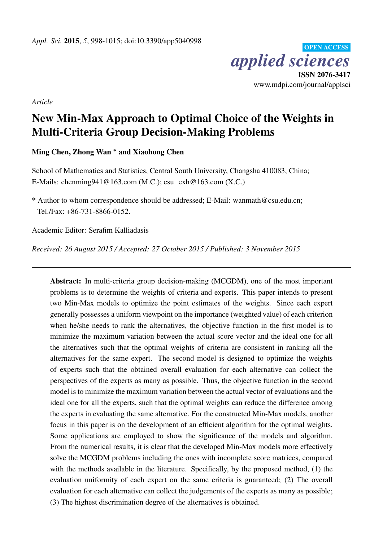OPEN ACCESS *applied sciences* ISSN 2076-3417 www.mdpi.com/journal/applsci

*Article*

# New Min-Max Approach to Optimal Choice of the Weights in Multi-Criteria Group Decision-Making Problems

Ming Chen, Zhong Wan <sup>∗</sup> and Xiaohong Chen

School of Mathematics and Statistics, Central South University, Changsha 410083, China; E-Mails: chenming941@163.com (M.C.); csu−cxh@163.com (X.C.)

\* Author to whom correspondence should be addressed; E-Mail: wanmath@csu.edu.cn; Tel./Fax: +86-731-8866-0152.

Academic Editor: Serafim Kalliadasis

*Received: 26 August 2015 / Accepted: 27 October 2015 / Published: 3 November 2015*

Abstract: In multi-criteria group decision-making (MCGDM), one of the most important problems is to determine the weights of criteria and experts. This paper intends to present two Min-Max models to optimize the point estimates of the weights. Since each expert generally possesses a uniform viewpoint on the importance (weighted value) of each criterion when he/she needs to rank the alternatives, the objective function in the first model is to minimize the maximum variation between the actual score vector and the ideal one for all the alternatives such that the optimal weights of criteria are consistent in ranking all the alternatives for the same expert. The second model is designed to optimize the weights of experts such that the obtained overall evaluation for each alternative can collect the perspectives of the experts as many as possible. Thus, the objective function in the second model is to minimize the maximum variation between the actual vector of evaluations and the ideal one for all the experts, such that the optimal weights can reduce the difference among the experts in evaluating the same alternative. For the constructed Min-Max models, another focus in this paper is on the development of an efficient algorithm for the optimal weights. Some applications are employed to show the significance of the models and algorithm. From the numerical results, it is clear that the developed Min-Max models more effectively solve the MCGDM problems including the ones with incomplete score matrices, compared with the methods available in the literature. Specifically, by the proposed method, (1) the evaluation uniformity of each expert on the same criteria is guaranteed; (2) The overall evaluation for each alternative can collect the judgements of the experts as many as possible; (3) The highest discrimination degree of the alternatives is obtained.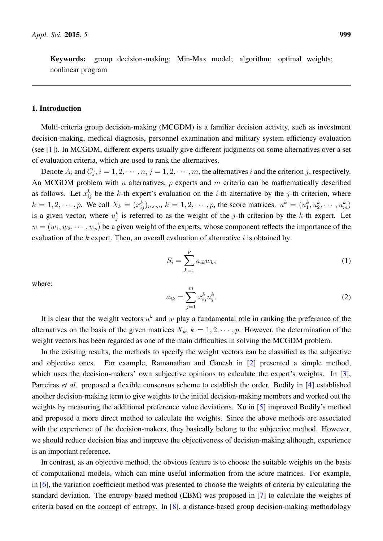Keywords: group decision-making; Min-Max model; algorithm; optimal weights; nonlinear program

# 1. Introduction

Multi-criteria group decision-making (MCGDM) is a familiar decision activity, such as investment decision-making, medical diagnosis, personnel examination and military system efficiency evaluation (see [\[1\]](#page-16-0)). In MCGDM, different experts usually give different judgments on some alternatives over a set of evaluation criteria, which are used to rank the alternatives.

Denote  $A_i$  and  $C_j$ ,  $i = 1, 2, \dots, n$ ,  $j = 1, 2, \dots, m$ , the alternatives i and the criterion j, respectively. An MCGDM problem with  $n$  alternatives,  $p$  experts and  $m$  criteria can be mathematically described as follows. Let  $x_{ij}^k$  be the k-th expert's evaluation on the *i*-th alternative by the *j*-th criterion, where  $k = 1, 2, \dots, p$ . We call  $X_k = (x_{ij}^k)_{n \times m}$ ,  $k = 1, 2, \dots, p$ , the score matrices.  $u^k = (u_1^k, u_2^k, \dots, u_m^k)$ is a given vector, where  $u_j^k$  is referred to as the weight of the j-th criterion by the k-th expert. Let  $w = (w_1, w_2, \dots, w_p)$  be a given weight of the experts, whose component reflects the importance of the evaluation of the  $k$  expert. Then, an overall evaluation of alternative  $i$  is obtained by:

<span id="page-1-1"></span>
$$
S_i = \sum_{k=1}^p a_{ik} w_k,\tag{1}
$$

where:

<span id="page-1-0"></span>
$$
a_{ik} = \sum_{j=1}^{m} x_{ij}^{k} u_{j}^{k}.
$$
 (2)

It is clear that the weight vectors  $u^k$  and w play a fundamental role in ranking the preference of the alternatives on the basis of the given matrices  $X_k$ ,  $k = 1, 2, \dots, p$ . However, the determination of the weight vectors has been regarded as one of the main difficulties in solving the MCGDM problem.

In the existing results, the methods to specify the weight vectors can be classified as the subjective and objective ones. For example, Ramanathan and Ganesh in [\[2\]](#page-16-1) presented a simple method, which uses the decision-makers' own subjective opinions to calculate the expert's weights. In [\[3\]](#page-16-2), Parreiras *et al*. proposed a flexible consensus scheme to establish the order. Bodily in [\[4\]](#page-16-3) established another decision-making term to give weights to the initial decision-making members and worked out the weights by measuring the additional preference value deviations. Xu in [\[5\]](#page-16-4) improved Bodily's method and proposed a more direct method to calculate the weights. Since the above methods are associated with the experience of the decision-makers, they basically belong to the subjective method. However, we should reduce decision bias and improve the objectiveness of decision-making although, experience is an important reference.

In contrast, as an objective method, the obvious feature is to choose the suitable weights on the basis of computational models, which can mine useful information from the score matrices. For example, in [\[6\]](#page-16-5), the variation coefficient method was presented to choose the weights of criteria by calculating the standard deviation. The entropy-based method (EBM) was proposed in [\[7\]](#page-16-6) to calculate the weights of criteria based on the concept of entropy. In [\[8\]](#page-16-7), a distance-based group decision-making methodology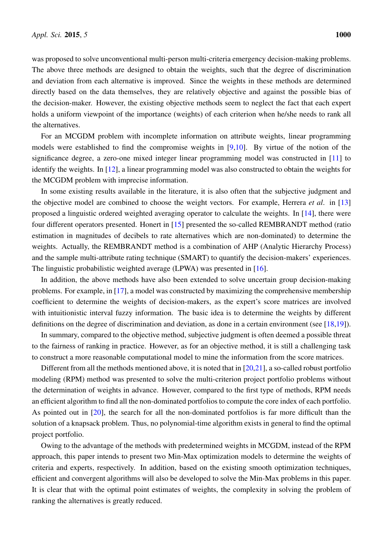was proposed to solve unconventional multi-person multi-criteria emergency decision-making problems. The above three methods are designed to obtain the weights, such that the degree of discrimination and deviation from each alternative is improved. Since the weights in these methods are determined directly based on the data themselves, they are relatively objective and against the possible bias of the decision-maker. However, the existing objective methods seem to neglect the fact that each expert holds a uniform viewpoint of the importance (weights) of each criterion when he/she needs to rank all the alternatives.

For an MCGDM problem with incomplete information on attribute weights, linear programming models were established to find the compromise weights in [\[9](#page-17-0)[,10\]](#page-17-1). By virtue of the notion of the significance degree, a zero-one mixed integer linear programming model was constructed in [\[11\]](#page-17-2) to identify the weights. In [\[12\]](#page-17-3), a linear programming model was also constructed to obtain the weights for the MCGDM problem with imprecise information.

In some existing results available in the literature, it is also often that the subjective judgment and the objective model are combined to choose the weight vectors. For example, Herrera *et al*. in [\[13\]](#page-17-4) proposed a linguistic ordered weighted averaging operator to calculate the weights. In [\[14\]](#page-17-5), there were four different operators presented. Honert in [\[15\]](#page-17-6) presented the so-called REMBRANDT method (ratio estimation in magnitudes of decibels to rate alternatives which are non-dominated) to determine the weights. Actually, the REMBRANDT method is a combination of AHP (Analytic Hierarchy Process) and the sample multi-attribute rating technique (SMART) to quantify the decision-makers' experiences. The linguistic probabilistic weighted average (LPWA) was presented in [\[16\]](#page-17-7).

In addition, the above methods have also been extended to solve uncertain group decision-making problems. For example, in [\[17\]](#page-17-8), a model was constructed by maximizing the comprehensive membership coefficient to determine the weights of decision-makers, as the expert's score matrices are involved with intuitionistic interval fuzzy information. The basic idea is to determine the weights by different definitions on the degree of discrimination and deviation, as done in a certain environment (see [\[18,](#page-17-9)[19\]](#page-17-10)).

In summary, compared to the objective method, subjective judgment is often deemed a possible threat to the fairness of ranking in practice. However, as for an objective method, it is still a challenging task to construct a more reasonable computational model to mine the information from the score matrices.

Different from all the methods mentioned above, it is noted that in  $[20,21]$  $[20,21]$ , a so-called robust portfolio modeling (RPM) method was presented to solve the multi-criterion project portfolio problems without the determination of weights in advance. However, compared to the first type of methods, RPM needs an efficient algorithm to find all the non-dominated portfolios to compute the core index of each portfolio. As pointed out in [\[20\]](#page-17-11), the search for all the non-dominated portfolios is far more difficult than the solution of a knapsack problem. Thus, no polynomial-time algorithm exists in general to find the optimal project portfolio.

Owing to the advantage of the methods with predetermined weights in MCGDM, instead of the RPM approach, this paper intends to present two Min-Max optimization models to determine the weights of criteria and experts, respectively. In addition, based on the existing smooth optimization techniques, efficient and convergent algorithms will also be developed to solve the Min-Max problems in this paper. It is clear that with the optimal point estimates of weights, the complexity in solving the problem of ranking the alternatives is greatly reduced.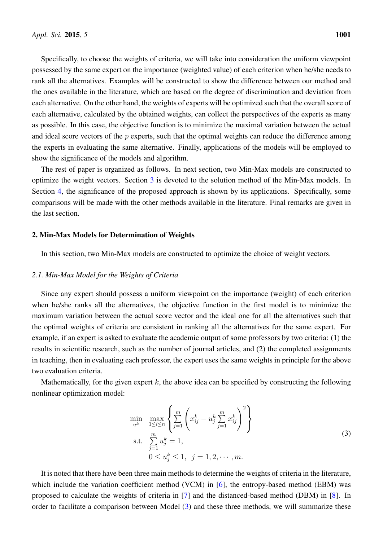Specifically, to choose the weights of criteria, we will take into consideration the uniform viewpoint possessed by the same expert on the importance (weighted value) of each criterion when he/she needs to rank all the alternatives. Examples will be constructed to show the difference between our method and the ones available in the literature, which are based on the degree of discrimination and deviation from each alternative. On the other hand, the weights of experts will be optimized such that the overall score of each alternative, calculated by the obtained weights, can collect the perspectives of the experts as many as possible. In this case, the objective function is to minimize the maximal variation between the actual and ideal score vectors of the  $p$  experts, such that the optimal weights can reduce the difference among the experts in evaluating the same alternative. Finally, applications of the models will be employed to show the significance of the models and algorithm.

The rest of paper is organized as follows. In next section, two Min-Max models are constructed to optimize the weight vectors. Section [3](#page-5-0) is devoted to the solution method of the Min-Max models. In Section [4,](#page-8-0) the significance of the proposed approach is shown by its applications. Specifically, some comparisons will be made with the other methods available in the literature. Final remarks are given in the last section.

# <span id="page-3-1"></span>2. Min-Max Models for Determination of Weights

In this section, two Min-Max models are constructed to optimize the choice of weight vectors.

## *2.1. Min-Max Model for the Weights of Criteria*

Since any expert should possess a uniform viewpoint on the importance (weight) of each criterion when he/she ranks all the alternatives, the objective function in the first model is to minimize the maximum variation between the actual score vector and the ideal one for all the alternatives such that the optimal weights of criteria are consistent in ranking all the alternatives for the same expert. For example, if an expert is asked to evaluate the academic output of some professors by two criteria: (1) the results in scientific research, such as the number of journal articles, and (2) the completed assignments in teaching, then in evaluating each professor, the expert uses the same weights in principle for the above two evaluation criteria.

Mathematically, for the given expert k, the above idea can be specified by constructing the following nonlinear optimization model:

<span id="page-3-0"></span>
$$
\min_{u^k} \max_{1 \le i \le n} \left\{ \sum_{j=1}^m \left( x_{ij}^k - u_j^k \sum_{j=1}^m x_{ij}^k \right)^2 \right\}
$$
\n
$$
\text{s.t.} \sum_{j=1}^m u_j^k = 1,
$$
\n
$$
0 \le u_j^k \le 1, \ j = 1, 2, \cdots, m.
$$
\n(3)

It is noted that there have been three main methods to determine the weights of criteria in the literature, which include the variation coefficient method (VCM) in [\[6\]](#page-16-5), the entropy-based method (EBM) was proposed to calculate the weights of criteria in [\[7\]](#page-16-6) and the distanced-based method (DBM) in [\[8\]](#page-16-7). In order to facilitate a comparison between Model [\(3\)](#page-3-0) and these three methods, we will summarize these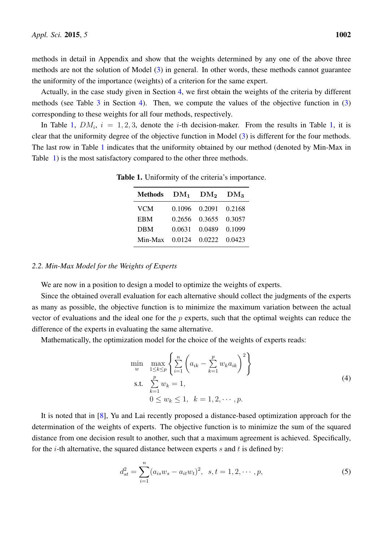methods in detail in Appendix and show that the weights determined by any one of the above three methods are not the solution of Model [\(3\)](#page-3-0) in general. In other words, these methods cannot guarantee the uniformity of the importance (weights) of a criterion for the same expert.

Actually, in the case study given in Section [4,](#page-8-0) we first obtain the weights of the criteria by different methods (see Table  $3$  in Section [4\)](#page-8-0). Then, we compute the values of the objective function in  $(3)$ corresponding to these weights for all four methods, respectively.

<span id="page-4-0"></span>In Table [1,](#page-4-0)  $DM_i$ ,  $i = 1, 2, 3$ , denote the *i*-th decision-maker. From the results in Table 1, it is clear that the uniformity degree of the objective function in Model [\(3\)](#page-3-0) is different for the four methods. The last row in Table [1](#page-4-0) indicates that the uniformity obtained by our method (denoted by Min-Max in Table [1\)](#page-4-0) is the most satisfactory compared to the other three methods.

| Methods                   | $DM_1$ $DM_2$ $DM_3$ |               |        |
|---------------------------|----------------------|---------------|--------|
| <b>VCM</b>                |                      | 0.1096 0.2091 | 0.2168 |
| <b>EBM</b>                |                      | 0.2656 0.3655 | 0.3057 |
| <b>DBM</b>                |                      | 0.0631 0.0489 | 0.1099 |
| Min-Max $0.0124$ $0.0222$ |                      |               | 0.0423 |

Table 1. Uniformity of the criteria's importance.

## *2.2. Min-Max Model for the Weights of Experts*

We are now in a position to design a model to optimize the weights of experts.

Since the obtained overall evaluation for each alternative should collect the judgments of the experts as many as possible, the objective function is to minimize the maximum variation between the actual vector of evaluations and the ideal one for the  $p$  experts, such that the optimal weights can reduce the difference of the experts in evaluating the same alternative.

Mathematically, the optimization model for the choice of the weights of experts reads:

<span id="page-4-1"></span>
$$
\min_{w} \max_{1 \le k \le p} \left\{ \sum_{i=1}^{n} \left( a_{ik} - \sum_{k=1}^{p} w_k a_{ik} \right)^2 \right\}
$$
\ns.t.

\n
$$
\sum_{k=1}^{p} w_k = 1,
$$
\n
$$
0 \le w_k \le 1, \quad k = 1, 2, \cdots, p.
$$
\n(4)

It is noted that in [\[8\]](#page-16-7), Yu and Lai recently proposed a distance-based optimization approach for the determination of the weights of experts. The objective function is to minimize the sum of the squared distance from one decision result to another, such that a maximum agreement is achieved. Specifically, for the *i*-th alternative, the squared distance between experts s and t is defined by:

$$
d_{st}^{2} = \sum_{i=1}^{n} (a_{is}w_s - a_{it}w_t)^2, \ \ s, t = 1, 2, \cdots, p,
$$
\n(5)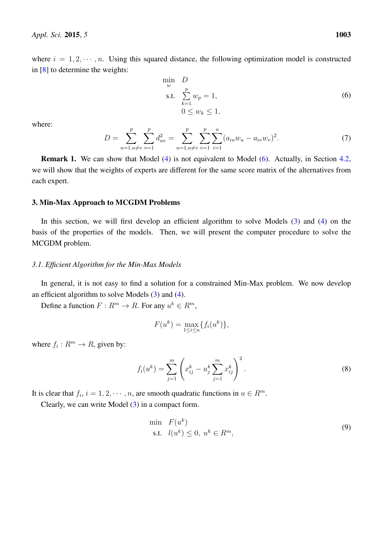where  $i = 1, 2, \dots, n$ . Using this squared distance, the following optimization model is constructed in [\[8\]](#page-16-7) to determine the weights:

<span id="page-5-1"></span>
$$
\min_{w} D
$$
  
s.t. 
$$
\sum_{k=1}^{p} w_p = 1,
$$
  

$$
0 \le w_k \le 1,
$$
 (6)

where:

$$
D = \sum_{u=1, u \neq v}^{p} \sum_{v=1}^{p} d_{uv}^{2} = \sum_{u=1, u \neq v}^{p} \sum_{v=1}^{p} \sum_{i=1}^{n} (a_{iu} w_u - a_{iv} w_v)^2.
$$
 (7)

Remark 1. We can show that Model [\(4\)](#page-4-1) is not equivalent to Model [\(6\)](#page-5-1). Actually, in Section [4.2,](#page-9-0) we will show that the weights of experts are different for the same score matrix of the alternatives from each expert.

## <span id="page-5-0"></span>3. Min-Max Approach to MCGDM Problems

In this section, we will first develop an efficient algorithm to solve Models [\(3\)](#page-3-0) and [\(4\)](#page-4-1) on the basis of the properties of the models. Then, we will present the computer procedure to solve the MCGDM problem.

## *3.1. Efficient Algorithm for the Min-Max Models*

In general, it is not easy to find a solution for a constrained Min-Max problem. We now develop an efficient algorithm to solve Models [\(3\)](#page-3-0) and [\(4\)](#page-4-1).

Define a function  $F: R^m \to R$ . For any  $u^k \in R^m$ ,

$$
F(u^k) = \max_{1 \le i \le n} \{f_i(u^k)\},
$$

where  $f_i: R^m \to R$ , given by:

$$
f_i(u^k) = \sum_{j=1}^m \left( x_{ij}^k - u_j^k \sum_{j=1}^m x_{ij}^k \right)^2.
$$
 (8)

It is clear that  $f_i$ ,  $i = 1, 2, \dots, n$ , are smooth quadratic functions in  $u \in R^m$ .

Clearly, we can write Model [\(3\)](#page-3-0) in a compact form.

<span id="page-5-2"></span>
$$
\begin{array}{ll}\n\text{min} & F(u^k) \\
\text{s.t.} & l(u^k) \le 0, \ u^k \in R^m,\n\end{array} \tag{9}
$$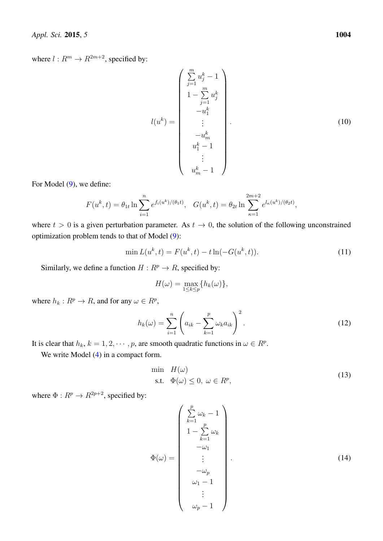where  $l : R^m \to R^{2m+2}$ , specified by:

$$
l(u^{k}) = \begin{pmatrix} \sum_{j=1}^{m} u_{j}^{k} - 1\\ 1 - \sum_{j=1}^{m} u_{j}^{k} \\ -u_{1}^{k} \\ -u_{1}^{k} \\ \vdots \\ -u_{m}^{k} \\ u_{1}^{k} - 1 \\ \vdots \\ u_{m}^{k} - 1 \end{pmatrix} .
$$
 (10)

For Model  $(9)$ , we define:

$$
F(u^k, t) = \theta_{1t} \ln \sum_{i=1}^n e^{f_i(u^k)/(\theta_1 t)}, \quad G(u^k, t) = \theta_{2t} \ln \sum_{\kappa=1}^{2m+2} e^{l_\kappa(u^k)/(\theta_2 t)},
$$

where  $t > 0$  is a given perturbation parameter. As  $t \to 0$ , the solution of the following unconstrained optimization problem tends to that of Model [\(9\)](#page-5-2):

<span id="page-6-1"></span>
$$
\min L(u^k, t) = F(u^k, t) - t \ln(-G(u^k, t)).
$$
\n(11)

Similarly, we define a function  $H : R^p \to R$ , specified by:

$$
H(\omega) = \max_{1 \le k \le p} \{ h_k(\omega) \},
$$

where  $h_k: R^p \to R$ , and for any  $\omega \in R^p$ ,

$$
h_k(\omega) = \sum_{i=1}^n \left( a_{ik} - \sum_{k=1}^p \omega_k a_{ik} \right)^2.
$$
 (12)

It is clear that  $h_k$ ,  $k = 1, 2, \dots, p$ , are smooth quadratic functions in  $\omega \in R^p$ .

We write Model  $(4)$  in a compact form.

<span id="page-6-0"></span>
$$
\min H(\omega)
$$
  
s.t.  $\Phi(\omega) \le 0, \ \omega \in R^p,$  (13)

where  $\Phi: R^p \to R^{2p+2}$ , specified by:

$$
\Phi(\omega) = \begin{pmatrix}\n\sum_{k=1}^{p} \omega_k - 1 \\
1 - \sum_{k=1}^{p} \omega_k \\
-\omega_1 \\
\vdots \\
-\omega_p \\
\omega_1 - 1 \\
\vdots \\
\omega_p - 1\n\end{pmatrix} . \tag{14}
$$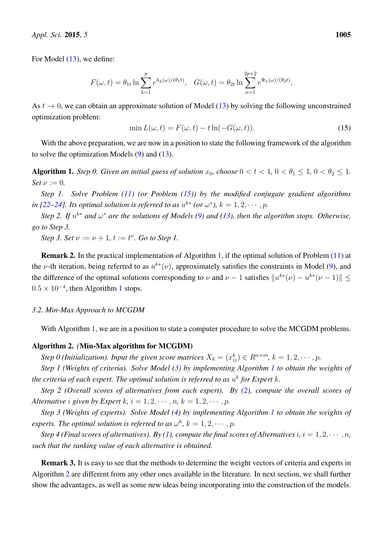For Model  $(13)$ , we define:

$$
F(\omega, t) = \theta_{1t} \ln \sum_{k=1}^{p} e^{h_k(\omega)/(\theta_1 t)}, \quad G(\omega, t) = \theta_{2t} \ln \sum_{\kappa=1}^{2p+2} e^{\Phi_{\kappa}(\omega)/(\theta_2 t)},
$$

As  $t \to 0$ , we can obtain an approximate solution of Model [\(13\)](#page-6-0) by solving the following unconstrained optimization problem:

<span id="page-7-0"></span>
$$
\min L(\omega, t) = F(\omega, t) - t \ln(-G(\omega, t)).\tag{15}
$$

With the above preparation, we are now in a position to state the following framework of the algorithm to solve the optimization Models [\(9\)](#page-5-2) and [\(13\)](#page-6-0).

<span id="page-7-1"></span>Algorithm 1. *Step 0. Given an initial guess of solution*  $x_0$ , choose  $0 < t < 1$ ,  $0 < \theta_1 \leq 1$ ,  $0 < \theta_2 \leq 1$ . *Set*  $\nu := 0$ *.* 

*Step 1. Solve Problem [\(11\)](#page-6-1) (or Problem [\(15\)](#page-7-0)) by the modified conjugate gradient algorithms in* [\[22](#page-17-13)[–24\]](#page-17-14). Its optimal solution is referred to as  $u^{k*}$  (or  $\omega^*$ ),  $k = 1, 2, \cdots, p$ .

*Step 2. If*  $u^{k*}$  *and*  $\omega^*$  *are the solutions of Models [\(9\)](#page-5-2) and [\(13\)](#page-6-0), then the algorithm stops. Otherwise, go to Step 3.*

*Step 3. Set*  $\nu := \nu + 1$ ,  $t := t^{\nu}$ *. Go to Step 1.* 

Remark 2. In the practical implementation of Algorithm [1,](#page-7-1) if the optimal solution of Problem [\(11\)](#page-6-1) at the v-th iteration, being referred to as  $u^{k*}(\nu)$ , approximately satisfies the constraints in Model [\(9\)](#page-5-2), and the difference of the optimal solutions corresponding to  $\nu$  and  $\nu - 1$  satisfies  $||u^{k*}(\nu) - u^{k*}(\nu - 1)|| \le$  $0.5 \times 10^{-4}$  $0.5 \times 10^{-4}$  $0.5 \times 10^{-4}$ , then Algorithm 1 stops.

#### *3.2. Min-Max Approach to MCGDM*

With Algorithm [1,](#page-7-1) we are in a position to state a computer procedure to solve the MCGDM problems.

#### <span id="page-7-2"></span>Algorithm 2. *(*Min-Max algorithm for MCGDM)

*Step 0 (Initialization). Input the given score matrices*  $X_k = (x_{ij}^k) \in R^{n \times m}$ ,  $k = 1, 2, \cdots, p$ .

*Step 1 (Weights of criteria). Solve Model [\(3\)](#page-3-0) by implementing Algorithm [1](#page-7-1) to obtain the weights of* the criteria of each expert. The optimal solution is referred to as  $u^k$  for Expert  $k$ .

*Step 2 (Overall scores of alternatives from each expert). By [\(2\)](#page-1-0), compute the overall scores of Alternative i* given by Expert k,  $i = 1, 2, \cdots, n$ ,  $k = 1, 2, \cdots, p$ .

*Step 3 (Weights of experts). Solve Model [\(4\)](#page-4-1) by implementing Algorithm [1](#page-7-1) to obtain the weights of experts. The optimal solution is referred to as*  $\omega^k$ ,  $k = 1, 2, \cdots, p$ .

*Step 4 (Final scores of alternatives).* By [\(1\)](#page-1-1), compute the final scores of Alternatives i,  $i = 1, 2, \dots, n$ , *such that the ranking value of each alternative is obtained.*

Remark 3. It is easy to see that the methods to determine the weight vectors of criteria and experts in Algorithm [2](#page-7-2) are different from any other ones available in the literature. In next section, we shall further show the advantages, as well as some new ideas being incorporating into the construction of the models.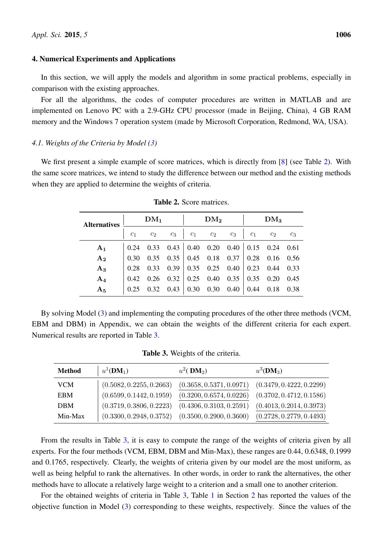## <span id="page-8-0"></span>4. Numerical Experiments and Applications

In this section, we will apply the models and algorithm in some practical problems, especially in comparison with the existing approaches.

For all the algorithms, the codes of computer procedures are written in MATLAB and are implemented on Lenovo PC with a 2.9-GHz CPU processor (made in Beijing, China), 4 GB RAM memory and the Windows 7 operation system (made by Microsoft Corporation, Redmond, WA, USA).

## *4.1. Weights of the Criteria by Model [\(3\)](#page-3-0)*

<span id="page-8-2"></span>We first present a simple example of score matrices, which is directly from [\[8\]](#page-16-7) (see Table [2\)](#page-8-2). With the same score matrices, we intend to study the difference between our method and the existing methods when they are applied to determine the weights of criteria.

| <b>Alternatives</b> | DM <sub>1</sub> |       |       |                | DM <sub>2</sub> |       |                | DM <sub>3</sub> |       |  |
|---------------------|-----------------|-------|-------|----------------|-----------------|-------|----------------|-----------------|-------|--|
|                     | $c_1$           | $c_2$ | $c_3$ | c <sub>1</sub> | c <sub>2</sub>  | $c_3$ | c <sub>1</sub> | $c_2$           | $c_3$ |  |
| A <sub>1</sub>      | 0.24            | 0.33  | 0.43  | 0.40           | 0.20            | 0.40  | $0.15$ 0.24    |                 | 0.61  |  |
| $A_2$               | 0.30            | 0.35  | 0.35  | 0.45           | 0.18            | 0.37  | 0.28           | 0.16            | 0.56  |  |
| $A_3$               | 0.28            | 0.33  | 0.39  | 0.35           | 0.25            | 0.40  | 0.23           | 0.44            | 0.33  |  |
| $A_4$               | 0.42            | 0.26  | 0.32  | 0.25           | 0.40            | 0.35  | 0.35           | 0.20            | 0.45  |  |
| A <sub>5</sub>      | 0.25            | 0.32  | 0.43  | 0.30           | 0.30            | 0.40  | 0.44           | 0.18            | 0.38  |  |

Table 2. Score matrices.

By solving Model [\(3\)](#page-3-0) and implementing the computing procedures of the other three methods (VCM, EBM and DBM) in Appendix, we can obtain the weights of the different criteria for each expert. Numerical results are reported in Table [3.](#page-8-1)

| Table 3. Weights of the criteria. |  |  |  |
|-----------------------------------|--|--|--|
|-----------------------------------|--|--|--|

<span id="page-8-1"></span>

| <b>Method</b> | $u^1(\mathbf{DM}_1)$     | $u^2$ ( DM <sub>2</sub> ) | $u^3$ (DM <sub>3</sub> ) |
|---------------|--------------------------|---------------------------|--------------------------|
| VCM           | (0.5082, 0.2255, 0.2663) | (0.3658, 0.5371, 0.0971)  | (0.3479, 0.4222, 0.2299) |
| EBM           | (0.6599, 0.1442, 0.1959) | (0.3200, 0.6574, 0.0226)  | (0.3702, 0.4712, 0.1586) |
| <b>DBM</b>    | (0.3719, 0.3806, 0.2223) | (0.4306, 0.3103, 0.2591)  | (0.4013, 0.2014, 0.3973) |
| Min-Max       | (0.3300, 0.2948, 0.3752) | (0.3500, 0.2900, 0.3600)  | (0.2728, 0.2779, 0.4493) |

From the results in Table [3,](#page-8-1) it is easy to compute the range of the weights of criteria given by all experts. For the four methods (VCM, EBM, DBM and Min-Max), these ranges are 0.44, 0.6348, 0.1999 and 0.1765, respectively. Clearly, the weights of criteria given by our model are the most uniform, as well as being helpful to rank the alternatives. In other words, in order to rank the alternatives, the other methods have to allocate a relatively large weight to a criterion and a small one to another criterion.

For the obtained weights of criteria in Table [3,](#page-8-1) Table [1](#page-4-0) in Section [2](#page-3-1) has reported the values of the objective function in Model [\(3\)](#page-3-0) corresponding to these weights, respectively. Since the values of the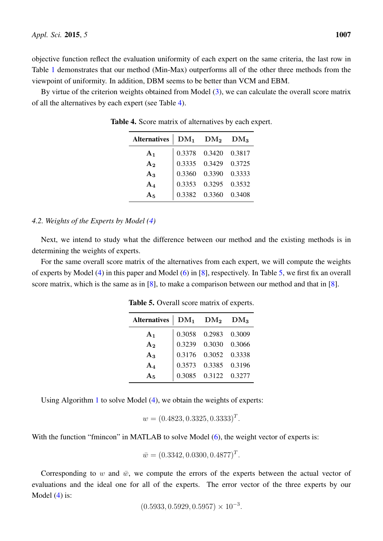objective function reflect the evaluation uniformity of each expert on the same criteria, the last row in Table [1](#page-4-0) demonstrates that our method (Min-Max) outperforms all of the other three methods from the viewpoint of uniformity. In addition, DBM seems to be better than VCM and EBM.

<span id="page-9-1"></span>By virtue of the criterion weights obtained from Model [\(3\)](#page-3-0), we can calculate the overall score matrix of all the alternatives by each expert (see Table [4\)](#page-9-1).

| Alternatives   | $\rm DM_1$ | $\rm DM_2$             | $DM_3$ |
|----------------|------------|------------------------|--------|
| $A_1$          |            | 0.3378  0.3420  0.3817 |        |
| $A_2$          |            | 0.3335  0.3429  0.3725 |        |
| $A_3$          | 0.3360     | 0.3390 0.3333          |        |
| $A_4$          | 0.3353     | 0.3295 0.3532          |        |
| A <sub>5</sub> | 0.3382     | 0.3360                 | 0.3408 |

Table 4. Score matrix of alternatives by each expert.

# <span id="page-9-0"></span>*4.2. Weights of the Experts by Model [\(4\)](#page-4-1)*

Next, we intend to study what the difference between our method and the existing methods is in determining the weights of experts.

<span id="page-9-2"></span>For the same overall score matrix of the alternatives from each expert, we will compute the weights of experts by Model [\(4\)](#page-4-1) in this paper and Model [\(6\)](#page-5-1) in [\[8\]](#page-16-7), respectively. In Table [5,](#page-9-2) we first fix an overall score matrix, which is the same as in [\[8\]](#page-16-7), to make a comparison between our method and that in [8].

| Alternatives $\overline{\rm DM_1}$ $\overline{\rm DM_2}$ |        |                        | $DM_3$ |
|----------------------------------------------------------|--------|------------------------|--------|
| A <sub>1</sub>                                           |        | 0.3058  0.2983  0.3009 |        |
| A <sub>2</sub>                                           | 0.3239 | 0.3030 0.3066          |        |
| $A_3$                                                    |        | 0.3176  0.3052  0.3338 |        |
| $A_4$                                                    | 0.3573 | 0.3385 0.3196          |        |
| $A_5$                                                    |        | 0.3085  0.3122  0.3277 |        |

Table 5. Overall score matrix of experts.

Using Algorithm [1](#page-7-1) to solve Model [\(4\)](#page-4-1), we obtain the weights of experts:

$$
w = (0.4823, 0.3325, 0.3333)^T.
$$

With the function "fmincon" in MATLAB to solve Model [\(6\)](#page-5-1), the weight vector of experts is:

$$
\bar{w} = (0.3342, 0.0300, 0.4877)^T.
$$

Corresponding to w and  $\bar{w}$ , we compute the errors of the experts between the actual vector of evaluations and the ideal one for all of the experts. The error vector of the three experts by our Model  $(4)$  is:

 $(0.5933, 0.5929, 0.5957) \times 10^{-3}$ .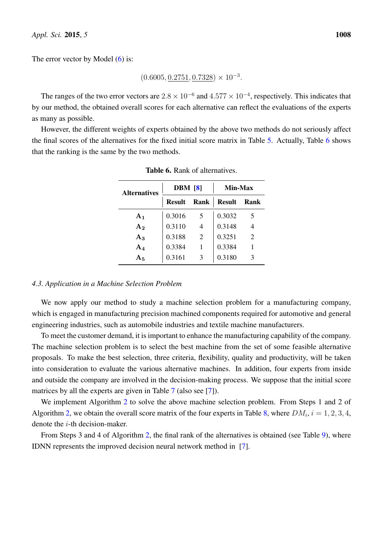The error vector by Model [\(6\)](#page-5-1) is:

 $(0.6005, \underline{0.2751}, \underline{0.7328}) \times 10^{-3}$ .

The ranges of the two error vectors are  $2.8 \times 10^{-6}$  and  $4.577 \times 10^{-4}$ , respectively. This indicates that by our method, the obtained overall scores for each alternative can reflect the evaluations of the experts as many as possible.

<span id="page-10-0"></span>However, the different weights of experts obtained by the above two methods do not seriously affect the final scores of the alternatives for the fixed initial score matrix in Table [5.](#page-9-2) Actually, Table [6](#page-10-0) shows that the ranking is the same by the two methods.

| <b>Alternatives</b> | <b>DBM</b> [8] |      | Min-Max       |      |  |
|---------------------|----------------|------|---------------|------|--|
|                     | <b>Result</b>  | Rank | <b>Result</b> | Rank |  |
| $A_1$               | 0.3016         | 5    | 0.3032        | 5    |  |
| A <sub>2</sub>      | 0.3110         | 4    | 0.3148        |      |  |
| $A_3$               | 0.3188         | 2    | 0.3251        | 2    |  |
| $A_4$               | 0.3384         |      | 0.3384        |      |  |
| $\rm A_5$           | 0.3161         | 3    | 0.3180        | 3    |  |

Table 6. Rank of alternatives.

## *4.3. Application in a Machine Selection Problem*

We now apply our method to study a machine selection problem for a manufacturing company, which is engaged in manufacturing precision machined components required for automotive and general engineering industries, such as automobile industries and textile machine manufacturers.

To meet the customer demand, it is important to enhance the manufacturing capability of the company. The machine selection problem is to select the best machine from the set of some feasible alternative proposals. To make the best selection, three criteria, flexibility, quality and productivity, will be taken into consideration to evaluate the various alternative machines. In addition, four experts from inside and outside the company are involved in the decision-making process. We suppose that the initial score matrices by all the experts are given in Table [7](#page-11-0) (also see [\[7\]](#page-16-6)).

We implement Algorithm [2](#page-7-2) to solve the above machine selection problem. From Steps 1 and 2 of Algorithm [2,](#page-7-2) we obtain the overall score matrix of the four experts in Table [8,](#page-11-1) where  $DM_i$ ,  $i = 1, 2, 3, 4$ , denote the i-th decision-maker.

From Steps 3 and 4 of Algorithm [2,](#page-7-2) the final rank of the alternatives is obtained (see Table [9\)](#page-11-2), where IDNN represents the improved decision neural network method in [\[7\]](#page-16-6).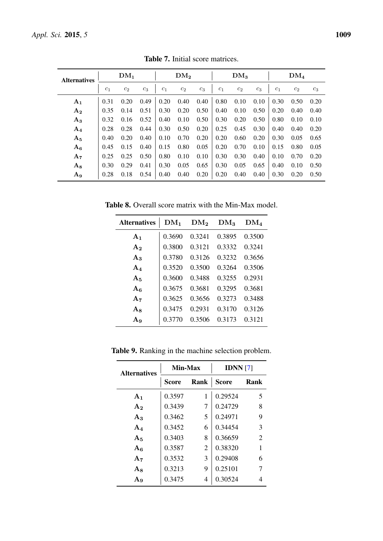<span id="page-11-0"></span>

| <b>Alternatives</b> | DM <sub>1</sub> |       |       |                | DM <sub>2</sub> |       |                | DM <sub>3</sub> |       |                | DM <sub>4</sub> |       |  |
|---------------------|-----------------|-------|-------|----------------|-----------------|-------|----------------|-----------------|-------|----------------|-----------------|-------|--|
|                     | c <sub>1</sub>  | $c_2$ | $c_3$ | c <sub>1</sub> | $c_2$           | $c_3$ | c <sub>1</sub> | $c_2$           | $c_3$ | c <sub>1</sub> | $c_2$           | $c_3$ |  |
| A <sub>1</sub>      | 0.31            | 0.20  | 0.49  | 0.20           | 0.40            | 0.40  | 0.80           | 0.10            | 0.10  | 0.30           | 0.50            | 0.20  |  |
| $A_2$               | 0.35            | 0.14  | 0.51  | 0.30           | 0.20            | 0.50  | 0.40           | 0.10            | 0.50  | 0.20           | 0.40            | 0.40  |  |
| $A_3$               | 0.32            | 0.16  | 0.52  | 0.40           | 0.10            | 0.50  | 0.30           | 0.20            | 0.50  | 0.80           | 0.10            | 0.10  |  |
| $A_4$               | 0.28            | 0.28  | 0.44  | 0.30           | 0.50            | 0.20  | 0.25           | 0.45            | 0.30  | 0.40           | 0.40            | 0.20  |  |
| $A_5$               | 0.40            | 0.20  | 0.40  | 0.10           | 0.70            | 0.20  | 0.20           | 0.60            | 0.20  | 0.30           | 0.05            | 0.65  |  |
| $A_6$               | 0.45            | 0.15  | 0.40  | 0.15           | 0.80            | 0.05  | 0.20           | 0.70            | 0.10  | 0.15           | 0.80            | 0.05  |  |
| $A_7$               | 0.25            | 0.25  | 0.50  | 0.80           | 0.10            | 0.10  | 0.30           | 0.30            | 0.40  | 0.10           | 0.70            | 0.20  |  |
| $A_8$               | 0.30            | 0.29  | 0.41  | 0.30           | 0.05            | 0.65  | 0.30           | 0.05            | 0.65  | 0.40           | 0.10            | 0.50  |  |
| $\mathbf{A_9}$      | 0.28            | 0.18  | 0.54  | 0.40           | 0.40            | 0.20  | 0.20           | 0.40            | 0.40  | 0.30           | 0.20            | 0.50  |  |

Table 7. Initial score matrices.

<span id="page-11-1"></span>Table 8. Overall score matrix with the Min-Max model.

| <b>Alternatives</b> | $DM_1$ | DM <sub>2</sub> | $DM_3$ | $DM_4$ |
|---------------------|--------|-----------------|--------|--------|
| A <sub>1</sub>      | 0.3690 | 0.3241          | 0.3895 | 0.3500 |
| $\rm A_2$           | 0.3800 | 0.3121          | 0.3332 | 0.3241 |
| $A_3$               | 0.3780 | 0.3126          | 0.3232 | 0.3656 |
| $A_4$               | 0.3520 | 0.3500          | 0.3264 | 0.3506 |
| $A_5$               | 0.3600 | 0.3488          | 0.3255 | 0.2931 |
| $A_6$               | 0.3675 | 0.3681          | 0.3295 | 0.3681 |
| $A_7$               | 0.3625 | 0.3656          | 0.3273 | 0.3488 |
| $A_8$               | 0.3475 | 0.2931          | 0.3170 | 0.3126 |
| $A_9$               | 0.3770 | 0.3506          | 0.3173 | 0.3121 |

<span id="page-11-2"></span>Table 9. Ranking in the machine selection problem.

| <b>Alternatives</b> | Min-Max |                | <b>IDNN</b> $[7]$ |                |  |
|---------------------|---------|----------------|-------------------|----------------|--|
|                     | Score   | Rank           | <b>Score</b>      | Rank           |  |
| A <sub>1</sub>      | 0.3597  | 1              | 0.29524           | 5              |  |
| A <sub>2</sub>      | 0.3439  | 7              | 0.24729           | 8              |  |
| $A_3$               | 0.3462  | 5              | 0.24971           | 9              |  |
| $A_4$               | 0.3452  | 6              | 0.34454           | 3              |  |
| $A_5$               | 0.3403  | 8              | 0.36659           | $\overline{2}$ |  |
| $A_6$               | 0.3587  | $\overline{2}$ | 0.38320           | 1              |  |
| $A_7$               | 0.3532  | 3              | 0.29408           | 6              |  |
| ${\rm A}_8$         | 0.3213  | 9              | 0.25101           |                |  |
| $A_9$               | 0.3475  | 4              | 0.30524           |                |  |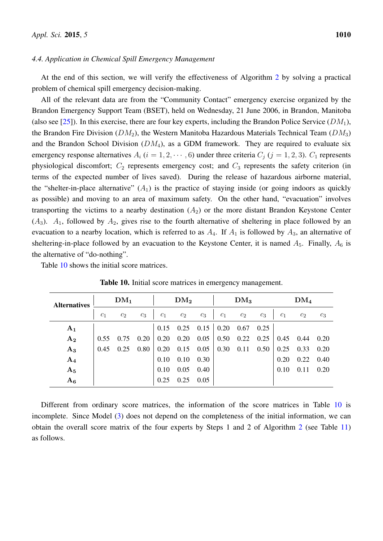## *4.4. Application in Chemical Spill Emergency Management*

At the end of this section, we will verify the effectiveness of Algorithm [2](#page-7-2) by solving a practical problem of chemical spill emergency decision-making.

All of the relevant data are from the "Community Contact" emergency exercise organized by the Brandon Emergency Support Team (BSET), held on Wednesday, 21 June 2006, in Brandon, Manitoba (also see [\[25\]](#page-17-15)). In this exercise, there are four key experts, including the Brandon Police Service ( $DM_1$ ), the Brandon Fire Division ( $DM_2$ ), the Western Manitoba Hazardous Materials Technical Team ( $DM_3$ ) and the Brandon School Division  $(DM_4)$ , as a GDM framework. They are required to evaluate six emergency response alternatives  $A_i$  ( $i = 1, 2, \dots, 6$ ) under three criteria  $C_j$  ( $j = 1, 2, 3$ ).  $C_1$  represents physiological discomfort;  $C_2$  represents emergency cost; and  $C_3$  represents the safety criterion (in terms of the expected number of lives saved). During the release of hazardous airborne material, the "shelter-in-place alternative"  $(A_1)$  is the practice of staying inside (or going indoors as quickly as possible) and moving to an area of maximum safety. On the other hand, "evacuation" involves transporting the victims to a nearby destination  $(A_2)$  or the more distant Brandon Keystone Center  $(A_3)$ .  $A_1$ , followed by  $A_2$ , gives rise to the fourth alternative of sheltering in place followed by an evacuation to a nearby location, which is referred to as  $A_4$ . If  $A_1$  is followed by  $A_3$ , an alternative of sheltering-in-place followed by an evacuation to the Keystone Center, it is named  $A_5$ . Finally,  $A_6$  is the alternative of "do-nothing".

<span id="page-12-0"></span>Table [10](#page-12-0) shows the initial score matrices.

|                | DM <sub>1</sub><br><b>Alternatives</b> |       |       | DM <sub>2</sub> |       |             | DM <sub>3</sub> |       |       | DM <sub>4</sub> |       |       |
|----------------|----------------------------------------|-------|-------|-----------------|-------|-------------|-----------------|-------|-------|-----------------|-------|-------|
|                | $c_1$                                  | $c_2$ | $c_3$ | $c_1$           | $c_2$ | $c_3$       | $c_1$           | $c_2$ | $c_3$ | c <sub>1</sub>  | $c_2$ | $c_3$ |
| $A_1$          |                                        |       |       | 0.15            |       | $0.25$ 0.15 | 0.20            | 0.67  | 0.25  |                 |       |       |
| A <sub>2</sub> | 0.55                                   | 0.75  | 0.20  | 0.20            | 0.20  | 0.05        | 0.50            | 0.22  | 0.25  | 0.45            | 0.44  | 0.20  |
| $A_3$          | 0.45                                   | 0.25  | 0.80  | 0.20            | 0.15  | 0.05        | 0.30            | 0.11  | 0.50  | 0.25            | 0.33  | 0.20  |
| $A_4$          |                                        |       |       | 0.10            | 0.10  | 0.30        |                 |       |       | 0.20            | 0.22  | 0.40  |
| $A_5$          |                                        |       |       | 0.10            | 0.05  | 0.40        |                 |       |       | 0.10            | 0.11  | 0.20  |
| $A_6$          |                                        |       |       | 0.25            | 0.25  | 0.05        |                 |       |       |                 |       |       |

Table 10. Initial score matrices in emergency management.

Different from ordinary score matrices, the information of the score matrices in Table [10](#page-12-0) is incomplete. Since Model [\(3\)](#page-3-0) does not depend on the completeness of the initial information, we can obtain the overall score matrix of the four experts by Steps 1 and 2 of Algorithm [2](#page-7-2) (see Table [11\)](#page-13-0) as follows.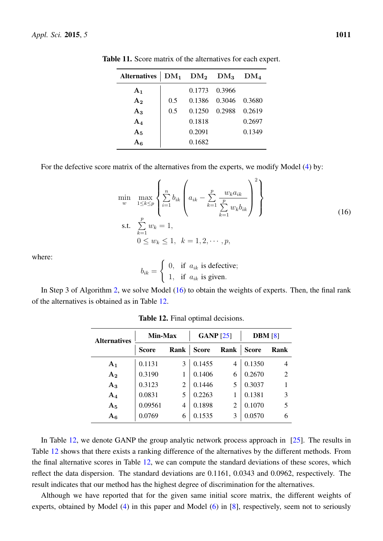| <b>Alternatives</b> |     | $DM_1$ $DM_2$ $DM_3$ |               | DM <sub>4</sub> |
|---------------------|-----|----------------------|---------------|-----------------|
| A <sub>1</sub>      |     |                      | 0.1773 0.3966 |                 |
| A <sub>2</sub>      | 0.5 |                      | 0.1386 0.3046 | 0.3680          |
| $A_3$               | 0.5 | 0.1250               | 0.2988        | 0.2619          |
| $A_4$               |     | 0.1818               |               | 0.2697          |
| A <sub>5</sub>      |     | 0.2091               |               | 0.1349          |
| A6                  |     | 0.1682               |               |                 |

<span id="page-13-0"></span>Table 11. Score matrix of the alternatives for each expert.

For the defective score matrix of the alternatives from the experts, we modify Model [\(4\)](#page-4-1) by:

<span id="page-13-1"></span>
$$
\min_{w} \max_{1 \le k \le p} \left\{ \sum_{i=1}^{n} b_{ik} \left( a_{ik} - \sum_{k=1}^{p} \frac{w_k a_{ik}}{\sum_{k=1}^{p} w_k b_{ik}} \right)^2 \right\}
$$
\ns.t.

\n
$$
\sum_{k=1}^{p} w_k = 1,
$$
\n
$$
0 \le w_k \le 1, \quad k = 1, 2, \cdots, p,
$$
\n(16)

where:

$$
b_{ik} = \begin{cases} 0, & \text{if } a_{ik} \text{ is defective;} \\ 1, & \text{if } a_{ik} \text{ is given.} \end{cases}
$$

<span id="page-13-2"></span>In Step 3 of Algorithm [2,](#page-7-2) we solve Model [\(16\)](#page-13-1) to obtain the weights of experts. Then, the final rank of the alternatives is obtained as in Table [12.](#page-13-2)

| <b>Alternatives</b> | Min-Max      |                             | GANP $[25]$  |                | <b>DBM</b> [8] |                |
|---------------------|--------------|-----------------------------|--------------|----------------|----------------|----------------|
|                     | <b>Score</b> | Rank                        | <b>Score</b> | Rank           | <b>Score</b>   | Rank           |
| $A_1$               | 0.1131       | 3                           | 0.1455       | 4              | 0.1350         | 4              |
| A <sub>2</sub>      | 0.3190       |                             | 0.1406       | 6              | 0.2670         | $\overline{2}$ |
| $A_3$               | 0.3123       | $\mathcal{D}_{\mathcal{A}}$ | 0.1446       | 5              | 0.3037         |                |
| ${\bf A_4}$         | 0.0831       | 5                           | 0.2263       | 1              | 0.1381         | 3              |
| $A_5$               | 0.09561      | 4                           | 0.1898       | $\overline{2}$ | 0.1070         | 5              |
| $A_6$               | 0.0769       | 6                           | 0.1535       | 3              | 0.0570         | 6              |

Table 12. Final optimal decisions.

In Table [12,](#page-13-2) we denote GANP the group analytic network process approach in  $[25]$ . The results in Table [12](#page-13-2) shows that there exists a ranking difference of the alternatives by the different methods. From the final alternative scores in Table [12,](#page-13-2) we can compute the standard deviations of these scores, which reflect the data dispersion. The standard deviations are 0.1161, 0.0343 and 0.0962, respectively. The result indicates that our method has the highest degree of discrimination for the alternatives.

Although we have reported that for the given same initial score matrix, the different weights of experts, obtained by Model [\(4\)](#page-4-1) in this paper and Model [\(6\)](#page-5-1) in [\[8\]](#page-16-7), respectively, seem not to seriously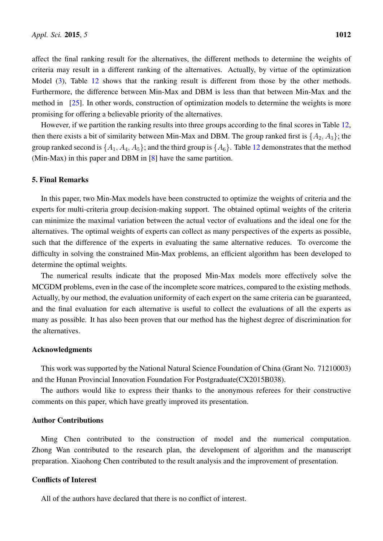affect the final ranking result for the alternatives, the different methods to determine the weights of criteria may result in a different ranking of the alternatives. Actually, by virtue of the optimization Model [\(3\)](#page-3-0), Table [12](#page-13-2) shows that the ranking result is different from those by the other methods. Furthermore, the difference between Min-Max and DBM is less than that between Min-Max and the method in [\[25\]](#page-17-15). In other words, construction of optimization models to determine the weights is more promising for offering a believable priority of the alternatives.

However, if we partition the ranking results into three groups according to the final scores in Table [12,](#page-13-2) then there exists a bit of similarity between Min-Max and DBM. The group ranked first is  $\{A_2, A_3\}$ ; the group ranked second is  $\{A_1, A_4, A_5\}$ ; and the third group is  $\{A_6\}$ . Table [12](#page-13-2) demonstrates that the method (Min-Max) in this paper and DBM in [\[8\]](#page-16-7) have the same partition.

# 5. Final Remarks

In this paper, two Min-Max models have been constructed to optimize the weights of criteria and the experts for multi-criteria group decision-making support. The obtained optimal weights of the criteria can minimize the maximal variation between the actual vector of evaluations and the ideal one for the alternatives. The optimal weights of experts can collect as many perspectives of the experts as possible, such that the difference of the experts in evaluating the same alternative reduces. To overcome the difficulty in solving the constrained Min-Max problems, an efficient algorithm has been developed to determine the optimal weights.

The numerical results indicate that the proposed Min-Max models more effectively solve the MCGDM problems, even in the case of the incomplete score matrices, compared to the existing methods. Actually, by our method, the evaluation uniformity of each expert on the same criteria can be guaranteed, and the final evaluation for each alternative is useful to collect the evaluations of all the experts as many as possible. It has also been proven that our method has the highest degree of discrimination for the alternatives.

#### Acknowledgments

This work was supported by the National Natural Science Foundation of China (Grant No. 71210003) and the Hunan Provincial Innovation Foundation For Postgraduate(CX2015B038).

The authors would like to express their thanks to the anonymous referees for their constructive comments on this paper, which have greatly improved its presentation.

# Author Contributions

Ming Chen contributed to the construction of model and the numerical computation. Zhong Wan contributed to the research plan, the development of algorithm and the manuscript preparation. Xiaohong Chen contributed to the result analysis and the improvement of presentation.

# Conflicts of Interest

All of the authors have declared that there is no conflict of interest.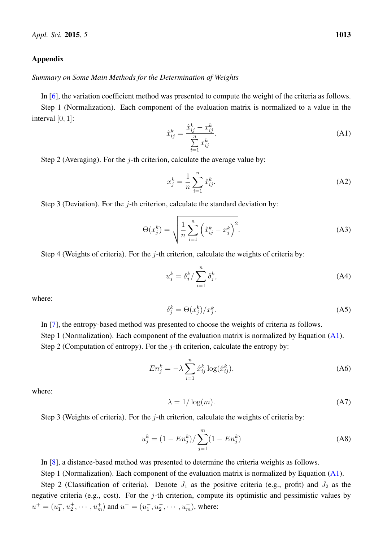## Appendix

## *Summary on Some Main Methods for the Determination of Weights*

In [\[6\]](#page-16-5), the variation coefficient method was presented to compute the weight of the criteria as follows.

Step 1 (Normalization). Each component of the evaluation matrix is normalized to a value in the interval  $[0, 1]$ :

<span id="page-15-0"></span>
$$
\hat{x}_{ij}^k = \frac{\hat{x}_{ij}^k - x_{ij}^k}{\sum_{i=1}^n x_{ij}^k}.
$$
\n(A1)

Step 2 (Averaging). For the *j*-th criterion, calculate the average value by:

$$
\overline{x_j^k} = \frac{1}{n} \sum_{i=1}^n \hat{x}_{ij}^k.
$$
 (A2)

Step 3 (Deviation). For the  $j$ -th criterion, calculate the standard deviation by:

$$
\Theta(x_j^k) = \sqrt{\frac{1}{n} \sum_{i=1}^n \left(\hat{x}_{ij}^k - \overline{x_j^k}\right)^2}.
$$
 (A3)

Step 4 (Weights of criteria). For the  $j$ -th criterion, calculate the weights of criteria by:

$$
u_j^k = \delta_j^k / \sum_{i=1}^n \delta_j^k,\tag{A4}
$$

where:

$$
\delta_j^k = \Theta(x_j^k) / \overline{x_j^k}.\tag{A5}
$$

In [\[7\]](#page-16-6), the entropy-based method was presented to choose the weights of criteria as follows. Step 1 (Normalization). Each component of the evaluation matrix is normalized by Equation [\(A1\)](#page-15-0).

Step 2 (Computation of entropy). For the  $j$ -th criterion, calculate the entropy by:

$$
En_j^k = -\lambda \sum_{i=1}^n \hat{x}_{ij}^k \log(\hat{x}_{ij}^k),
$$
\n(A6)

where:

$$
\lambda = 1/\log(m). \tag{A7}
$$

Step 3 (Weights of criteria). For the  $j$ -th criterion, calculate the weights of criteria by:

$$
u_j^k = (1 - En_j^k) / \sum_{j=1}^m (1 - En_j^k)
$$
 (A8)

In [\[8\]](#page-16-7), a distance-based method was presented to determine the criteria weights as follows.

Step 1 (Normalization). Each component of the evaluation matrix is normalized by Equation [\(A1\)](#page-15-0).

Step 2 (Classification of criteria). Denote  $J_1$  as the positive criteria (e.g., profit) and  $J_2$  as the negative criteria (e.g., cost). For the  $j$ -th criterion, compute its optimistic and pessimistic values by  $u^+ = (u_1^+, u_2^+, \cdots, u_m^+)$  and  $u^- = (u_1^-, u_2^-, \cdots, u_m^-)$ , where: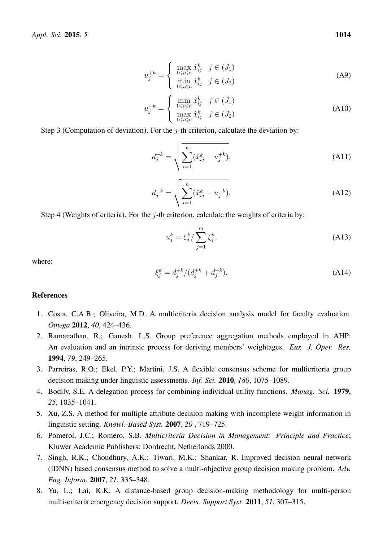$$
u_j^{+k} = \begin{cases} \max_{1 \le i \le n} \hat{x}_{ij}^k & j \in (J_1) \\ \min_{1 \le i \le n} \hat{x}_{ij}^k & j \in (J_2) \end{cases}
$$
 (A9)

$$
u_j^{-k} = \begin{cases} \min_{1 \le i \le n} \hat{x}_{ij}^k & j \in (J_1) \\ \max_{1 \le i \le n} \hat{x}_{ij}^k & j \in (J_2) \end{cases}
$$
 (A10)

Step 3 (Computation of deviation). For the  $j$ -th criterion, calculate the deviation by:

$$
d_j^{+k} = \sqrt{\sum_{i=1}^n (\hat{x}_{ij}^k - u_j^{+k})},
$$
\n(A11)

$$
d_j^{-k} = \sqrt{\sum_{i=1}^n (\hat{x}_{ij}^k - u_j^{-k})}.
$$
 (A12)

Step 4 (Weights of criteria). For the  $j$ -th criterion, calculate the weights of criteria by:

$$
u_j^k = \xi_j^k / \sum_{j=1}^m \xi_j^k,\tag{A13}
$$

where:

$$
\xi_j^k = d_j^{+k} / (d_j^{+k} + d_j^{-k}).\tag{A14}
$$

## References

- <span id="page-16-0"></span>1. Costa, C.A.B.; Oliveira, M.D. A multicriteria decision analysis model for faculty evaluation. *Omega* 2012, *40*, 424–436.
- <span id="page-16-1"></span>2. Ramanathan, R.; Ganesh, L.S. Group preference aggregation methods employed in AHP: An evaluation and an intrinsic process for deriving members' weightages. *Eur. J. Oper. Res.* 1994, *79*, 249–265.
- <span id="page-16-2"></span>3. Parreiras, R.O.; Ekel, P.Y.; Martini, J.S. A flexible consensus scheme for multicriteria group decision making under linguistic assessments. *Inf. Sci.* 2010, *180*, 1075–1089.
- <span id="page-16-3"></span>4. Bodily, S.E. A delegation process for combining individual utility functions. *Manag. Sci.* 1979, *25*, 1035–1041.
- <span id="page-16-4"></span>5. Xu, Z.S. A method for multiple attribute decision making with incomplete weight information in linguistic setting. *Knowl.-Based Syst.* 2007, *20* , 719–725.
- <span id="page-16-5"></span>6. Pomerol, J.C.; Romero, S.B. *Multicriteria Decision in Management: Principle and Practice*; Kluwer Academic Publishers: Dordrecht, Netherlands 2000.
- <span id="page-16-6"></span>7. Singh, R.K.; Choudhury, A.K.; Tiwari, M.K.; Shankar, R. Improved decision neural network (IDNN) based consensus method to solve a multi-objective group decision making problem. *Adv. Eng. Inform.* 2007, *21*, 335–348.
- <span id="page-16-7"></span>8. Yu, L.; Lai, K.K. A distance-based group decision-making methodology for multi-person multi-criteria emergency decision support. *Decis. Support Syst.* 2011, *51*, 307–315.